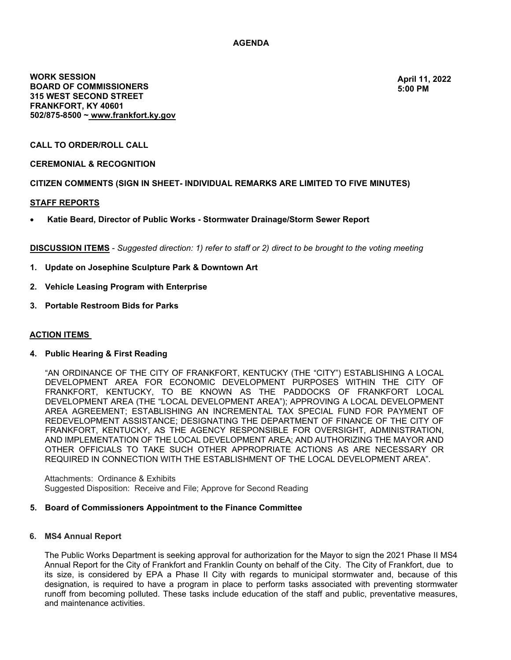# **AGENDA**

**WORK SESSION BOARD OF COMMISSIONERS 315 WEST SECOND STREET FRANKFORT, KY 40601 502/8758500 ~ [www.frankfort.ky.gov](http://www.frankfort.ky.gov/)**

**April 11, [2022](http://www.frankfort.ky.gov/) [5:00 PM](http://www.frankfort.ky.gov/)**

## **CALL TO ORDER/ROLL CALL**

## **CEREMONIAL & RECOGNITION**

## **CITIZEN COMMENTS (SIGN IN SHEET- INDIVIDUAL REMARKS ARE LIMITED TO FIVE MINUTES)**

### **STAFF REPORTS**

• **Katie Beard, Director of Public Works - Stormwater Drainage/Storm Sewer Report**

**DISCUSSION ITEMS** *Suggested direction: 1) refer to staff or 2) direct to be brought to the voting meeting*

- **1. Update on Josephine Sculpture Park & Downtown Art**
- **2. Vehicle Leasing Program with Enterprise**
- **3. Portable Restroom Bids for Parks**

### **ACTION ITEMS**

#### **4. Public Hearing & First Reading**

"AN ORDINANCE OF THE CITY OF FRANKFORT, KENTUCKY (THE "CITY") ESTABLISHING A LOCAL DEVELOPMENT AREA FOR ECONOMIC DEVELOPMENT PURPOSES WITHIN THE CITY OF FRANKFORT, KENTUCKY, TO BE KNOWN AS THE PADDOCKS OF FRANKFORT LOCAL DEVELOPMENT AREA (THE "LOCAL DEVELOPMENT AREA"); APPROVING A LOCAL DEVELOPMENT AREA AGREEMENT; ESTABLISHING AN INCREMENTAL TAX SPECIAL FUND FOR PAYMENT OF REDEVELOPMENT ASSISTANCE; DESIGNATING THE DEPARTMENT OF FINANCE OF THE CITY OF FRANKFORT, KENTUCKY, AS THE AGENCY RESPONSIBLE FOR OVERSIGHT, ADMINISTRATION, AND IMPLEMENTATION OF THE LOCAL DEVELOPMENT AREA; AND AUTHORIZING THE MAYOR AND OTHER OFFICIALS TO TAKE SUCH OTHER APPROPRIATE ACTIONS AS ARE NECESSARY OR REQUIRED IN CONNECTION WITH THE ESTABLISHMENT OF THE LOCAL DEVELOPMENT AREA".

Attachments: Ordinance & Exhibits Suggested Disposition: Receive and File; Approve for Second Reading

#### **5. Board of Commissioners Appointment to the Finance Committee**

#### **6. MS4 Annual Report**

The Public Works Department is seeking approval for authorization for the Mayor to sign the 2021 Phase II MS4 Annual Report for the City of Frankfort and Franklin County on behalf of the City. The City of Frankfort, due to its size, is considered by EPA a Phase II City with regards to municipal stormwater and, because of this designation, is required to have a program in place to perform tasks associated with preventing stormwater runoff from becoming polluted. These tasks include education of the staff and public, preventative measures, and maintenance activities.